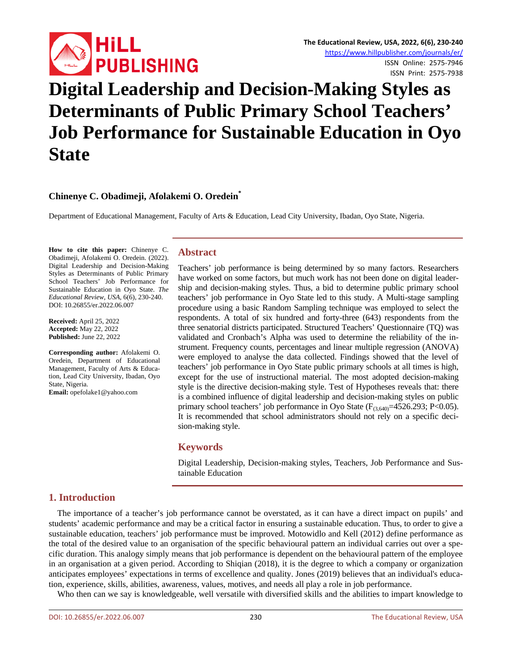

# **Digital Leadership and Decision-Making Styles as Determinants of Public Primary School Teachers' Job Performance for Sustainable Education in Oyo State**

# **Chinenye C. Obadimeji, Afolakemi O. Oredein\***

Department of Educational Management, Faculty of Arts & Education, Lead City University, Ibadan, Oyo State, Nigeria.

**How to cite this paper:** Chinenye C. Obadimeji, Afolakemi O. Oredein. (2022). Digital Leadership and Decision-Making Styles as Determinants of Public Primary School Teachers' Job Performance for Sustainable Education in Oyo State. *The Educational Review, USA*, 6(6), 230-240. DOI: 10.26855/er.2022.06.007

**Received:** April 25, 2022 **Accepted:** May 22, 2022 **Published:** June 22, 2022

**Corresponding author:** Afolakemi O. Oredein, Department of Educational Management, Faculty of Arts & Education, Lead City University, Ibadan, Oyo State, Nigeria. **Email:** opefolake1@yahoo.com

# **Abstract**

Teachers' job performance is being determined by so many factors. Researchers have worked on some factors, but much work has not been done on digital leadership and decision-making styles. Thus, a bid to determine public primary school teachers' job performance in Oyo State led to this study. A Multi-stage sampling procedure using a basic Random Sampling technique was employed to select the respondents. A total of six hundred and forty-three (643) respondents from the three senatorial districts participated. Structured Teachers' Questionnaire (TQ) was validated and Cronbach's Alpha was used to determine the reliability of the instrument. Frequency counts, percentages and linear multiple regression (ANOVA) were employed to analyse the data collected. Findings showed that the level of teachers' job performance in Oyo State public primary schools at all times is high, except for the use of instructional material. The most adopted decision-making style is the directive decision-making style. Test of Hypotheses reveals that: there is a combined influence of digital leadership and decision-making styles on public primary school teachers' job performance in Oyo State  $(F_{(3,640)}=4526.293; P<0.05)$ . It is recommended that school administrators should not rely on a specific decision-making style.

## **Keywords**

Digital Leadership, Decision-making styles, Teachers, Job Performance and Sustainable Education

# **1. Introduction**

The importance of a teacher's job performance cannot be overstated, as it can have a direct impact on pupils' and students' academic performance and may be a critical factor in ensuring a sustainable education. Thus, to order to give a sustainable education, teachers' job performance must be improved. Motowidlo and Kell (2012) define performance as the total of the desired value to an organisation of the specific behavioural pattern an individual carries out over a specific duration. This analogy simply means that job performance is dependent on the behavioural pattern of the employee in an organisation at a given period. According to Shiqian (2018), it is the degree to which a company or organization anticipates employees' expectations in terms of excellence and quality. Jones (2019) believes that an individual's education, experience, skills, abilities, awareness, values, motives, and needs all play a role in job performance.

Who then can we say is knowledgeable, well versatile with diversified skills and the abilities to impart knowledge to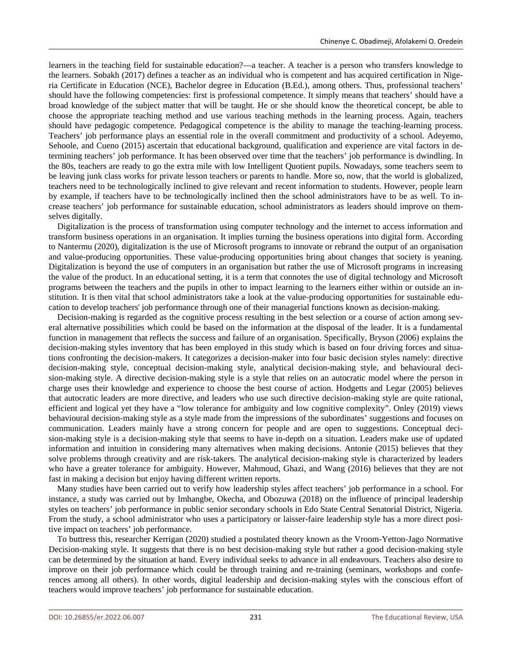learners in the teaching field for sustainable education?—a teacher. A teacher is a person who transfers knowledge to the learners. Sobakh (2017) defines a teacher as an individual who is competent and has acquired certification in Nigeria Certificate in Education (NCE), Bachelor degree in Education (B.Ed.), among others. Thus, professional teachers' should have the following competencies: first is professional competence. It simply means that teachers' should have a broad knowledge of the subject matter that will be taught. He or she should know the theoretical concept, be able to choose the appropriate teaching method and use various teaching methods in the learning process. Again, teachers should have pedagogic competence. Pedagogical competence is the ability to manage the teaching-learning process. Teachers' job performance plays an essential role in the overall commitment and productivity of a school. Adeyemo, Sehoole, and Cueno (2015) ascertain that educational background, qualification and experience are vital factors in determining teachers' job performance. It has been observed over time that the teachers' job performance is dwindling. In the 80s, teachers are ready to go the extra mile with low Intelligent Quotient pupils. Nowadays, some teachers seem to be leaving junk class works for private lesson teachers or parents to handle. More so, now, that the world is globalized, teachers need to be technologically inclined to give relevant and recent information to students. However, people learn by example, if teachers have to be technologically inclined then the school administrators have to be as well. To increase teachers' job performance for sustainable education, school administrators as leaders should improve on themselves digitally.

Digitalization is the process of transformation using computer technology and the internet to access information and transform business operations in an organisation. It implies turning the business operations into digital form. According to Nantermu (2020), digitalization is the use of Microsoft programs to innovate or rebrand the output of an organisation and value-producing opportunities. These value-producing opportunities bring about changes that society is yeaning. Digitalization is beyond the use of computers in an organisation but rather the use of Microsoft programs in increasing the value of the product. In an educational setting, it is a term that connotes the use of digital technology and Microsoft programs between the teachers and the pupils in other to impact learning to the learners either within or outside an institution. It is then vital that school administrators take a look at the value-producing opportunities for sustainable education to develop teachers' job performance through one of their managerial functions known as decision-making.

Decision-making is regarded as the cognitive process resulting in the best selection or a course of action among several alternative possibilities which could be based on the information at the disposal of the leader. It is a fundamental function in management that reflects the success and failure of an organisation. Specifically, Bryson (2006) explains the decision-making styles inventory that has been employed in this study which is based on four driving forces and situations confronting the decision-makers. It categorizes a decision-maker into four basic decision styles namely: directive decision-making style, conceptual decision-making style, analytical decision-making style, and behavioural decision-making style. A directive decision-making style is a style that relies on an autocratic model where the person in charge uses their knowledge and experience to choose the best course of action. Hodgetts and Legar (2005) believes that autocratic leaders are more directive, and leaders who use such directive decision-making style are quite rational, efficient and logical yet they have a "low tolerance for ambiguity and low cognitive complexity". Onley (2019) views behavioural decision-making style as a style made from the impressions of the subordinates' suggestions and focuses on communication. Leaders mainly have a strong concern for people and are open to suggestions. Conceptual decision-making style is a decision-making style that seems to have in-depth on a situation. Leaders make use of updated information and intuition in considering many alternatives when making decisions. Antonie (2015) believes that they solve problems through creativity and are risk-takers. The analytical decision-making style is characterized by leaders who have a greater tolerance for ambiguity. However, Mahmoud, Ghazi, and Wang (2016) believes that they are not fast in making a decision but enjoy having different written reports.

Many studies have been carried out to verify how leadership styles affect teachers' job performance in a school. For instance, a study was carried out by Imhangbe, Okecha, and Obozuwa (2018) on the influence of principal leadership styles on teachers' job performance in public senior secondary schools in Edo State Central Senatorial District, Nigeria. From the study, a school administrator who uses a participatory or laisser-faire leadership style has a more direct positive impact on teachers' job performance.

To buttress this, researcher Kerrigan (2020) studied a postulated theory known as the Vroom-Yetton-Jago Normative Decision-making style. It suggests that there is no best decision-making style but rather a good decision-making style can be determined by the situation at hand. Every individual seeks to advance in all endeavours. Teachers also desire to improve on their job performance which could be through training and re-training (seminars, workshops and conferences among all others). In other words, digital leadership and decision-making styles with the conscious effort of teachers would improve teachers' job performance for sustainable education.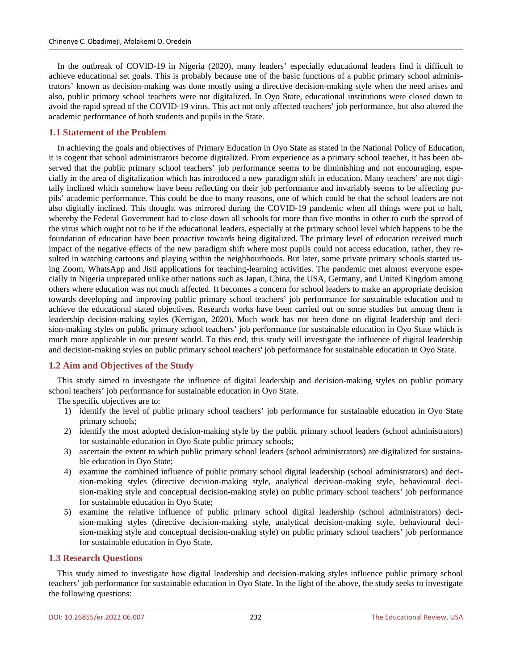In the outbreak of COVID-19 in Nigeria (2020), many leaders' especially educational leaders find it difficult to achieve educational set goals. This is probably because one of the basic functions of a public primary school administrators' known as decision-making was done mostly using a directive decision-making style when the need arises and also, public primary school teachers were not digitalized. In Oyo State, educational institutions were closed down to avoid the rapid spread of the COVID-19 virus. This act not only affected teachers' job performance, but also altered the academic performance of both students and pupils in the State.

# **1.1 Statement of the Problem**

In achieving the goals and objectives of Primary Education in Oyo State as stated in the National Policy of Education, it is cogent that school administrators become digitalized. From experience as a primary school teacher, it has been observed that the public primary school teachers' job performance seems to be diminishing and not encouraging, especially in the area of digitalization which has introduced a new paradigm shift in education. Many teachers' are not digitally inclined which somehow have been reflecting on their job performance and invariably seems to be affecting pupils' academic performance. This could be due to many reasons, one of which could be that the school leaders are not also digitally inclined. This thought was mirrored during the COVID-19 pandemic when all things were put to halt, whereby the Federal Government had to close down all schools for more than five months in other to curb the spread of the virus which ought not to be if the educational leaders, especially at the primary school level which happens to be the foundation of education have been proactive towards being digitalized. The primary level of education received much impact of the negative effects of the new paradigm shift where most pupils could not access education, rather, they resulted in watching cartoons and playing within the neighbourhoods. But later, some private primary schools started using Zoom, WhatsApp and Jisti applications for teaching-learning activities. The pandemic met almost everyone especially in Nigeria unprepared unlike other nations such as Japan, China, the USA, Germany, and United Kingdom among others where education was not much affected. It becomes a concern for school leaders to make an appropriate decision towards developing and improving public primary school teachers' job performance for sustainable education and to achieve the educational stated objectives. Research works have been carried out on some studies but among them is leadership decision-making styles (Kerrigan, 2020). Much work has not been done on digital leadership and decision-making styles on public primary school teachers' job performance for sustainable education in Oyo State which is much more applicable in our present world. To this end, this study will investigate the influence of digital leadership and decision-making styles on public primary school teachers' job performance for sustainable education in Oyo State.

# **1.2 Aim and Objectives of the Study**

This study aimed to investigate the influence of digital leadership and decision-making styles on public primary school teachers' job performance for sustainable education in Oyo State.

The specific objectives are to:

- 1) identify the level of public primary school teachers' job performance for sustainable education in Oyo State primary schools;
- 2) identify the most adopted decision-making style by the public primary school leaders (school administrators) for sustainable education in Oyo State public primary schools;
- 3) ascertain the extent to which public primary school leaders (school administrators) are digitalized for sustainable education in Oyo State;
- 4) examine the combined influence of public primary school digital leadership (school administrators) and decision-making styles (directive decision-making style, analytical decision-making style, behavioural decision-making style and conceptual decision-making style) on public primary school teachers' job performance for sustainable education in Oyo State;
- 5) examine the relative influence of public primary school digital leadership (school administrators) decision-making styles (directive decision-making style, analytical decision-making style, behavioural decision-making style and conceptual decision-making style) on public primary school teachers' job performance for sustainable education in Oyo State.

# **1.3 Research Questions**

This study aimed to investigate how digital leadership and decision-making styles influence public primary school teachers' job performance for sustainable education in Oyo State. In the light of the above, the study seeks to investigate the following questions: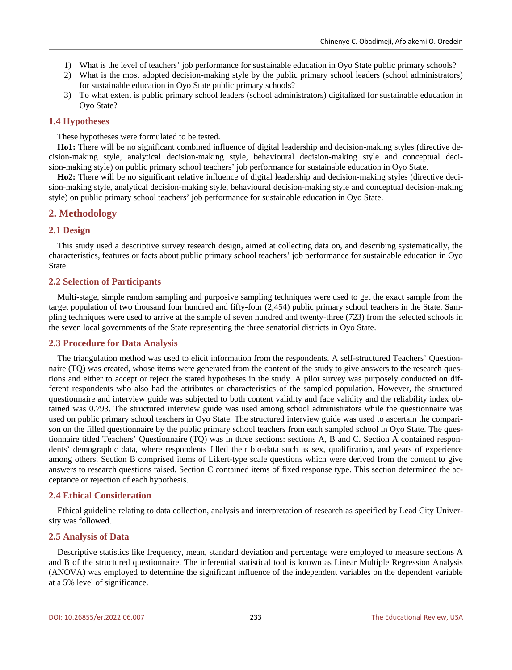- 1) What is the level of teachers' job performance for sustainable education in Oyo State public primary schools?
- 2) What is the most adopted decision-making style by the public primary school leaders (school administrators) for sustainable education in Oyo State public primary schools?
- 3) To what extent is public primary school leaders (school administrators) digitalized for sustainable education in Oyo State?

# **1.4 Hypotheses**

These hypotheses were formulated to be tested.

**Ho1:** There will be no significant combined influence of digital leadership and decision-making styles (directive decision-making style, analytical decision-making style, behavioural decision-making style and conceptual decision-making style) on public primary school teachers' job performance for sustainable education in Oyo State.

**Ho2:** There will be no significant relative influence of digital leadership and decision-making styles (directive decision-making style, analytical decision-making style, behavioural decision-making style and conceptual decision-making style) on public primary school teachers' job performance for sustainable education in Oyo State.

# **2. Methodology**

# **2.1 Design**

This study used a descriptive survey research design, aimed at collecting data on, and describing systematically, the characteristics, features or facts about public primary school teachers' job performance for sustainable education in Oyo State.

# **2.2 Selection of Participants**

Multi-stage, simple random sampling and purposive sampling techniques were used to get the exact sample from the target population of two thousand four hundred and fifty-four (2,454) public primary school teachers in the State. Sampling techniques were used to arrive at the sample of seven hundred and twenty-three (723) from the selected schools in the seven local governments of the State representing the three senatorial districts in Oyo State.

# **2.3 Procedure for Data Analysis**

The triangulation method was used to elicit information from the respondents. A self-structured Teachers' Questionnaire (TQ) was created, whose items were generated from the content of the study to give answers to the research questions and either to accept or reject the stated hypotheses in the study. A pilot survey was purposely conducted on different respondents who also had the attributes or characteristics of the sampled population. However, the structured questionnaire and interview guide was subjected to both content validity and face validity and the reliability index obtained was 0.793. The structured interview guide was used among school administrators while the questionnaire was used on public primary school teachers in Oyo State. The structured interview guide was used to ascertain the comparison on the filled questionnaire by the public primary school teachers from each sampled school in Oyo State. The questionnaire titled Teachers' Questionnaire (TQ) was in three sections: sections A, B and C. Section A contained respondents' demographic data, where respondents filled their bio-data such as sex, qualification, and years of experience among others. Section B comprised items of Likert-type scale questions which were derived from the content to give answers to research questions raised. Section C contained items of fixed response type. This section determined the acceptance or rejection of each hypothesis.

# **2.4 Ethical Consideration**

Ethical guideline relating to data collection, analysis and interpretation of research as specified by Lead City University was followed.

# **2.5 Analysis of Data**

Descriptive statistics like frequency, mean, standard deviation and percentage were employed to measure sections A and B of the structured questionnaire. The inferential statistical tool is known as Linear Multiple Regression Analysis (ANOVA) was employed to determine the significant influence of the independent variables on the dependent variable at a 5% level of significance.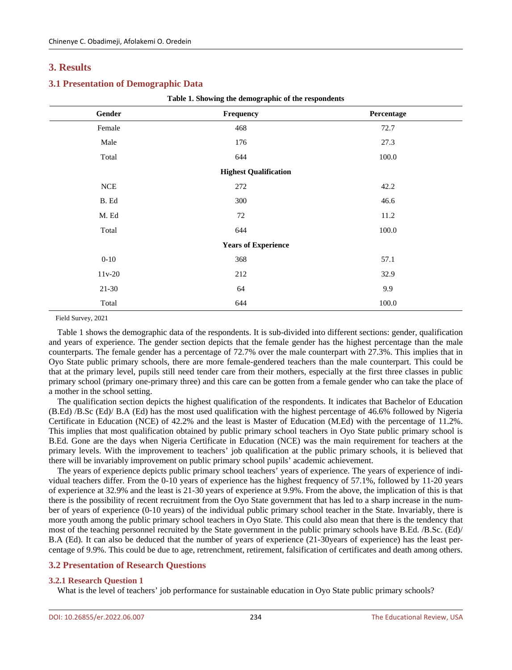# **3. Results**

# **3.1 Presentation of Demographic Data**

| Gender    | Frequency                    | Percentage |  |  |  |  |  |  |
|-----------|------------------------------|------------|--|--|--|--|--|--|
| Female    | 468                          | 72.7       |  |  |  |  |  |  |
| Male      | 176                          | 27.3       |  |  |  |  |  |  |
| Total     | 644                          | 100.0      |  |  |  |  |  |  |
|           | <b>Highest Qualification</b> |            |  |  |  |  |  |  |
| $N\rm CE$ | 272                          | 42.2       |  |  |  |  |  |  |
| B. Ed     | 300                          | 46.6       |  |  |  |  |  |  |
| M. Ed     | 72                           | 11.2       |  |  |  |  |  |  |
| Total     | 644                          | 100.0      |  |  |  |  |  |  |
|           | <b>Years of Experience</b>   |            |  |  |  |  |  |  |
| $0 - 10$  | 368                          | 57.1       |  |  |  |  |  |  |
| $11v-20$  | 212                          | 32.9       |  |  |  |  |  |  |
| $21 - 30$ | 64                           | 9.9        |  |  |  |  |  |  |
| Total     | 644                          | 100.0      |  |  |  |  |  |  |

**Table 1. Showing the demographic of the respondents**

Field Survey, 2021

Table 1 shows the demographic data of the respondents. It is sub-divided into different sections: gender, qualification and years of experience. The gender section depicts that the female gender has the highest percentage than the male counterparts. The female gender has a percentage of 72.7% over the male counterpart with 27.3%. This implies that in Oyo State public primary schools, there are more female-gendered teachers than the male counterpart. This could be that at the primary level, pupils still need tender care from their mothers, especially at the first three classes in public primary school (primary one-primary three) and this care can be gotten from a female gender who can take the place of a mother in the school setting.

The qualification section depicts the highest qualification of the respondents. It indicates that Bachelor of Education (B.Ed) /B.Sc (Ed)/ B.A (Ed) has the most used qualification with the highest percentage of 46.6% followed by Nigeria Certificate in Education (NCE) of 42.2% and the least is Master of Education (M.Ed) with the percentage of 11.2%. This implies that most qualification obtained by public primary school teachers in Oyo State public primary school is B.Ed. Gone are the days when Nigeria Certificate in Education (NCE) was the main requirement for teachers at the primary levels. With the improvement to teachers' job qualification at the public primary schools, it is believed that there will be invariably improvement on public primary school pupils' academic achievement.

The years of experience depicts public primary school teachers' years of experience. The years of experience of individual teachers differ. From the 0-10 years of experience has the highest frequency of 57.1%, followed by 11-20 years of experience at 32.9% and the least is 21-30 years of experience at 9.9%. From the above, the implication of this is that there is the possibility of recent recruitment from the Oyo State government that has led to a sharp increase in the number of years of experience (0-10 years) of the individual public primary school teacher in the State. Invariably, there is more youth among the public primary school teachers in Oyo State. This could also mean that there is the tendency that most of the teaching personnel recruited by the State government in the public primary schools have B.Ed. /B.Sc. (Ed)/ B.A (Ed). It can also be deduced that the number of years of experience (21-30years of experience) has the least percentage of 9.9%. This could be due to age, retrenchment, retirement, falsification of certificates and death among others.

# **3.2 Presentation of Research Questions**

## **3.2.1 Research Question 1**

What is the level of teachers' job performance for sustainable education in Oyo State public primary schools?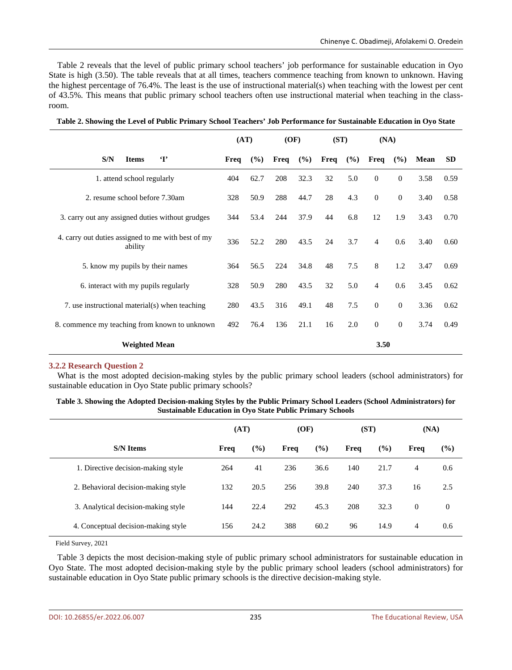Table 2 reveals that the level of public primary school teachers' job performance for sustainable education in Oyo State is high (3.50). The table reveals that at all times, teachers commence teaching from known to unknown. Having the highest percentage of 76.4%. The least is the use of instructional material(s) when teaching with the lowest per cent of 43.5%. This means that public primary school teachers often use instructional material when teaching in the classroom.

|                                                               | (AT) |      | (OF) |      | (ST) |     | (NA)           |              |      |           |
|---------------------------------------------------------------|------|------|------|------|------|-----|----------------|--------------|------|-----------|
| $\mathbf{T}$<br>S/N<br><b>Items</b>                           | Freq | (%)  | Freq | (%)  | Freq | (%) | Freq           | (%)          | Mean | <b>SD</b> |
| 1. attend school regularly                                    | 404  | 62.7 | 208  | 32.3 | 32   | 5.0 | $\overline{0}$ | $\mathbf{0}$ | 3.58 | 0.59      |
| 2. resume school before 7.30am                                | 328  | 50.9 | 288  | 44.7 | 28   | 4.3 | $\overline{0}$ | $\mathbf{0}$ | 3.40 | 0.58      |
| 3. carry out any assigned duties without grudges              | 344  | 53.4 | 244  | 37.9 | 44   | 6.8 | 12             | 1.9          | 3.43 | 0.70      |
| 4. carry out duties assigned to me with best of my<br>ability |      | 52.2 | 280  | 43.5 | 24   | 3.7 | $\overline{4}$ | 0.6          | 3.40 | 0.60      |
| 5. know my pupils by their names                              |      | 56.5 | 224  | 34.8 | 48   | 7.5 | 8              | 1.2          | 3.47 | 0.69      |
| 6. interact with my pupils regularly                          |      | 50.9 | 280  | 43.5 | 32   | 5.0 | $\overline{4}$ | 0.6          | 3.45 | 0.62      |
| 7. use instructional material(s) when teaching                |      | 43.5 | 316  | 49.1 | 48   | 7.5 | $\overline{0}$ | $\mathbf{0}$ | 3.36 | 0.62      |
| 8. commence my teaching from known to unknown                 |      | 76.4 | 136  | 21.1 | 16   | 2.0 | $\mathbf{0}$   | $\mathbf{0}$ | 3.74 | 0.49      |
| <b>Weighted Mean</b>                                          |      |      |      |      |      |     | 3.50           |              |      |           |

**Table 2. Showing the Level of Public Primary School Teachers' Job Performance for Sustainable Education in Oyo State**

## **3.2.2 Research Question 2**

What is the most adopted decision-making styles by the public primary school leaders (school administrators) for sustainable education in Oyo State public primary schools?

| Table 3. Showing the Adopted Decision-making Styles by the Public Primary School Leaders (School Administrators) for |
|----------------------------------------------------------------------------------------------------------------------|
| <b>Sustainable Education in Oyo State Public Primary Schools</b>                                                     |

|                                     | (AT) |               | (OF) |      | (ST) |        | (NA)     |                |
|-------------------------------------|------|---------------|------|------|------|--------|----------|----------------|
| <b>S/N Items</b>                    | Freq | $\frac{6}{6}$ | Freq | (%)  | Freq | $(\%)$ | Freq     | (%)            |
| 1. Directive decision-making style  | 264  | 41            | 236  | 36.6 | 140  | 21.7   | 4        | 0.6            |
| 2. Behavioral decision-making style | 132  | 20.5          | 256  | 39.8 | 240  | 37.3   | 16       | 2.5            |
| 3. Analytical decision-making style | 144  | 22.4          | 292  | 45.3 | 208  | 32.3   | $\theta$ | $\overline{0}$ |
| 4. Conceptual decision-making style | 156  | 24.2          | 388  | 60.2 | 96   | 14.9   | 4        | 0.6            |

Field Survey, 2021

Table 3 depicts the most decision-making style of public primary school administrators for sustainable education in Oyo State. The most adopted decision-making style by the public primary school leaders (school administrators) for sustainable education in Oyo State public primary schools is the directive decision-making style.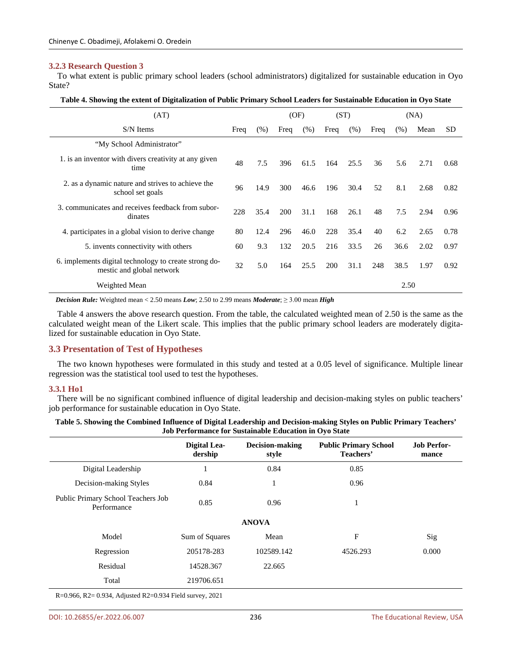### **3.2.3 Research Question 3**

To what extent is public primary school leaders (school administrators) digitalized for sustainable education in Oyo State?

| Table 4. Showing the extent of Digitalization of Public Primary School Leaders for Sustainable Education in Oyo State |  |  |  |
|-----------------------------------------------------------------------------------------------------------------------|--|--|--|
|-----------------------------------------------------------------------------------------------------------------------|--|--|--|

| (AT)                                                                               |      |      | (OF) |      | (ST) |         | (NA) |      |      |      |
|------------------------------------------------------------------------------------|------|------|------|------|------|---------|------|------|------|------|
| S/N Items                                                                          | Freq | (% ) | Freq | (% ) | Freq | $(\% )$ | Freq | (% ) | Mean | SD   |
| "My School Administrator"                                                          |      |      |      |      |      |         |      |      |      |      |
| 1. is an inventor with divers creativity at any given<br>time                      | 48   | 7.5  | 396  | 61.5 | 164  | 25.5    | 36   | 5.6  | 2.71 | 0.68 |
| 2. as a dynamic nature and strives to achieve the<br>school set goals              | 96   | 14.9 | 300  | 46.6 | 196  | 30.4    | 52   | 8.1  | 2.68 | 0.82 |
| 3. communicates and receives feedback from subor-<br>dinates                       | 228  | 35.4 | 200  | 31.1 | 168  | 26.1    | 48   | 7.5  | 2.94 | 0.96 |
| 4. participates in a global vision to derive change                                | 80   | 12.4 | 296  | 46.0 | 228  | 35.4    | 40   | 6.2  | 2.65 | 0.78 |
| 5. invents connectivity with others                                                | 60   | 9.3  | 132  | 20.5 | 216  | 33.5    | 26   | 36.6 | 2.02 | 0.97 |
| 6. implements digital technology to create strong do-<br>mestic and global network | 32   | 5.0  | 164  | 25.5 | 200  | 31.1    | 248  | 38.5 | 1.97 | 0.92 |
| Weighted Mean                                                                      |      |      |      |      |      |         |      | 2.50 |      |      |

*Decision Rule:* Weighted mean < 2.50 means *Low*; 2.50 to 2.99 means *Moderate*; ≥ 3.00 mean *High*

Table 4 answers the above research question. From the table, the calculated weighted mean of 2.50 is the same as the calculated weight mean of the Likert scale. This implies that the public primary school leaders are moderately digitalized for sustainable education in Oyo State.

## **3.3 Presentation of Test of Hypotheses**

The two known hypotheses were formulated in this study and tested at a 0.05 level of significance. Multiple linear regression was the statistical tool used to test the hypotheses.

#### **3.3.1 Ho1**

There will be no significant combined influence of digital leadership and decision-making styles on public teachers' job performance for sustainable education in Oyo State.

| Table 5. Showing the Combined Influence of Digital Leadership and Decision-making Styles on Public Primary Teachers' |  |
|----------------------------------------------------------------------------------------------------------------------|--|
| Job Performance for Sustainable Education in Ovo State                                                               |  |

|                                                   | Digital Lea-<br>dership | <b>Decision-making</b><br>style | <b>Public Primary School</b><br>Teachers' | <b>Job Perfor-</b><br>mance |
|---------------------------------------------------|-------------------------|---------------------------------|-------------------------------------------|-----------------------------|
| Digital Leadership                                |                         | 0.84                            | 0.85                                      |                             |
| Decision-making Styles                            | 0.84                    | 1                               | 0.96                                      |                             |
| Public Primary School Teachers Job<br>Performance | 0.85                    | 0.96                            | -1                                        |                             |
|                                                   |                         | <b>ANOVA</b>                    |                                           |                             |
| Model                                             | Sum of Squares          | Mean                            | F                                         | Sig                         |
| Regression                                        | 205178-283              | 102589.142                      | 4526.293                                  | 0.000                       |
| Residual                                          | 14528.367               | 22.665                          |                                           |                             |
| Total                                             | 219706.651              |                                 |                                           |                             |

R=0.966, R2= 0.934, Adjusted R2=0.934 Field survey, 2021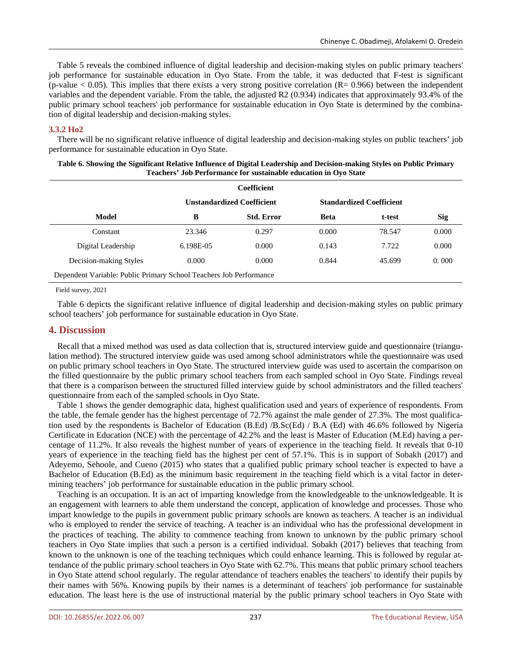Table 5 reveals the combined influence of digital leadership and decision-making styles on public primary teachers' job performance for sustainable education in Oyo State. From the table, it was deducted that F-test is significant (p-value  $< 0.05$ ). This implies that there exists a very strong positive correlation (R= 0.966) between the independent variables and the dependent variable. From the table, the adjusted R2 (0.934) indicates that approximately 93.4% of the public primary school teachers' job performance for sustainable education in Oyo State is determined by the combination of digital leadership and decision-making styles.

## **3.3.2 Ho2**

There will be no significant relative influence of digital leadership and decision-making styles on public teachers' job performance for sustainable education in Oyo State.

| Table of Showing the Significant Kelative Hindence of Digital Ecadership and Decision making Styles on I done I Hindi y<br>Teachers' Job Performance for sustainable education in Ovo State |  |                                   |             |                                 |     |  |  |  |
|---------------------------------------------------------------------------------------------------------------------------------------------------------------------------------------------|--|-----------------------------------|-------------|---------------------------------|-----|--|--|--|
| Coefficient                                                                                                                                                                                 |  |                                   |             |                                 |     |  |  |  |
|                                                                                                                                                                                             |  | <b>Unstandardized Coefficient</b> |             | <b>Standardized Coefficient</b> |     |  |  |  |
| Model                                                                                                                                                                                       |  | <b>Std. Error</b>                 | <b>Beta</b> | t-test                          | Sig |  |  |  |

Constant 23.346 0.297 0.000 78.547 0.000 Digital Leadership 6.198E-05 0.000 0.143 7.722 0.000 Decision-making Styles 0.000 0.000 0.844 45.699 0.000

| Table 6. Showing the Significant Relative Influence of Digital Leadership and Decision-making Styles on Public Primary |  |  |  |  |  |  |  |
|------------------------------------------------------------------------------------------------------------------------|--|--|--|--|--|--|--|
| Teachers' Job Performance for sustainable education in Ovo State                                                       |  |  |  |  |  |  |  |

| Table 6 depicts the significant relative influence of digital leadership and decision-making styles on public primary |  |  |  |  |
|-----------------------------------------------------------------------------------------------------------------------|--|--|--|--|
| school teachers' job performance for sustainable education in Oyo State.                                              |  |  |  |  |

# **4. Discussion**

Field survey, 2021

Dependent Variable: Public Primary School Teachers Job Performance

Recall that a mixed method was used as data collection that is, structured interview guide and questionnaire (triangulation method). The structured interview guide was used among school administrators while the questionnaire was used on public primary school teachers in Oyo State. The structured interview guide was used to ascertain the comparison on the filled questionnaire by the public primary school teachers from each sampled school in Oyo State. Findings reveal that there is a comparison between the structured filled interview guide by school administrators and the filled teachers' questionnaire from each of the sampled schools in Oyo State.

Table 1 shows the gender demographic data, highest qualification used and years of experience of respondents. From the table, the female gender has the highest percentage of 72.7% against the male gender of 27.3%. The most qualification used by the respondents is Bachelor of Education (B.Ed) /B.Sc(Ed) / B.A (Ed) with 46.6% followed by Nigeria Certificate in Education (NCE) with the percentage of 42.2% and the least is Master of Education (M.Ed) having a percentage of 11.2%. It also reveals the highest number of years of experience in the teaching field. It reveals that 0-10 years of experience in the teaching field has the highest per cent of 57.1%. This is in support of Sobakh (2017) and Adeyemo, Sehoole, and Cueno (2015) who states that a qualified public primary school teacher is expected to have a Bachelor of Education (B.Ed) as the minimum basic requirement in the teaching field which is a vital factor in determining teachers' job performance for sustainable education in the public primary school.

Teaching is an occupation. It is an act of imparting knowledge from the knowledgeable to the unknowledgeable. It is an engagement with learners to able them understand the concept, application of knowledge and processes. Those who impart knowledge to the pupils in government public primary schools are known as teachers. A teacher is an individual who is employed to render the service of teaching. A teacher is an individual who has the professional development in the practices of teaching. The ability to commence teaching from known to unknown by the public primary school teachers in Oyo State implies that such a person is a certified individual. Sobakh (2017) believes that teaching from known to the unknown is one of the teaching techniques which could enhance learning. This is followed by regular attendance of the public primary school teachers in Oyo State with 62.7%. This means that public primary school teachers in Oyo State attend school regularly. The regular attendance of teachers enables the teachers' to identify their pupils by their names with 56%. Knowing pupils by their names is a determinant of teachers' job performance for sustainable education. The least here is the use of instructional material by the public primary school teachers in Oyo State with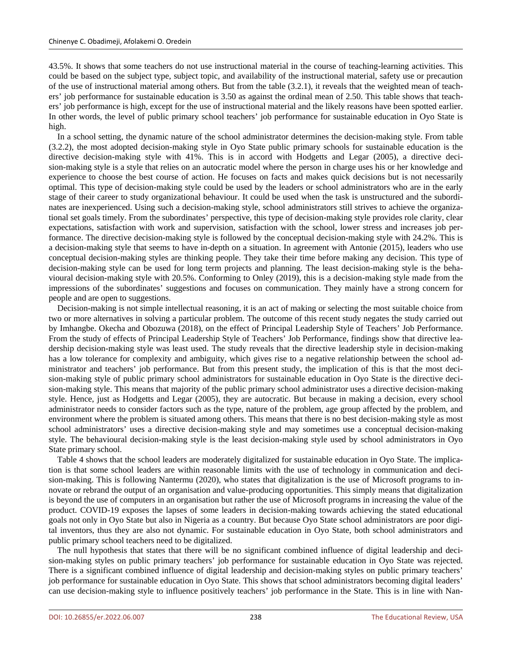43.5%. It shows that some teachers do not use instructional material in the course of teaching-learning activities. This could be based on the subject type, subject topic, and availability of the instructional material, safety use or precaution of the use of instructional material among others. But from the table (3.2.1), it reveals that the weighted mean of teachers' job performance for sustainable education is 3.50 as against the ordinal mean of 2.50. This table shows that teachers' job performance is high, except for the use of instructional material and the likely reasons have been spotted earlier. In other words, the level of public primary school teachers' job performance for sustainable education in Oyo State is high.

In a school setting, the dynamic nature of the school administrator determines the decision-making style. From table (3.2.2), the most adopted decision-making style in Oyo State public primary schools for sustainable education is the directive decision-making style with 41%. This is in accord with Hodgetts and Legar (2005), a directive decision-making style is a style that relies on an autocratic model where the person in charge uses his or her knowledge and experience to choose the best course of action. He focuses on facts and makes quick decisions but is not necessarily optimal. This type of decision-making style could be used by the leaders or school administrators who are in the early stage of their career to study organizational behaviour. It could be used when the task is unstructured and the subordinates are inexperienced. Using such a decision-making style, school administrators still strives to achieve the organizational set goals timely. From the subordinates' perspective, this type of decision-making style provides role clarity, clear expectations, satisfaction with work and supervision, satisfaction with the school, lower stress and increases job performance. The directive decision-making style is followed by the conceptual decision-making style with 24.2%. This is a decision-making style that seems to have in-depth on a situation. In agreement with Antonie (2015), leaders who use conceptual decision-making styles are thinking people. They take their time before making any decision. This type of decision-making style can be used for long term projects and planning. The least decision-making style is the behavioural decision-making style with 20.5%. Conforming to Onley (2019), this is a decision-making style made from the impressions of the subordinates' suggestions and focuses on communication. They mainly have a strong concern for people and are open to suggestions.

Decision-making is not simple intellectual reasoning, it is an act of making or selecting the most suitable choice from two or more alternatives in solving a particular problem. The outcome of this recent study negates the study carried out by Imhangbe. Okecha and Obozuwa (2018), on the effect of Principal Leadership Style of Teachers' Job Performance. From the study of effects of Principal Leadership Style of Teachers' Job Performance, findings show that directive leadership decision-making style was least used. The study reveals that the directive leadership style in decision-making has a low tolerance for complexity and ambiguity, which gives rise to a negative relationship between the school administrator and teachers' job performance. But from this present study, the implication of this is that the most decision-making style of public primary school administrators for sustainable education in Oyo State is the directive decision-making style. This means that majority of the public primary school administrator uses a directive decision-making style. Hence, just as Hodgetts and Legar (2005), they are autocratic. But because in making a decision, every school administrator needs to consider factors such as the type, nature of the problem, age group affected by the problem, and environment where the problem is situated among others. This means that there is no best decision-making style as most school administrators' uses a directive decision-making style and may sometimes use a conceptual decision-making style. The behavioural decision-making style is the least decision-making style used by school administrators in Oyo State primary school.

Table 4 shows that the school leaders are moderately digitalized for sustainable education in Oyo State. The implication is that some school leaders are within reasonable limits with the use of technology in communication and decision-making. This is following Nantermu (2020), who states that digitalization is the use of Microsoft programs to innovate or rebrand the output of an organisation and value-producing opportunities. This simply means that digitalization is beyond the use of computers in an organisation but rather the use of Microsoft programs in increasing the value of the product. COVID-19 exposes the lapses of some leaders in decision-making towards achieving the stated educational goals not only in Oyo State but also in Nigeria as a country. But because Oyo State school administrators are poor digital inventors, thus they are also not dynamic. For sustainable education in Oyo State, both school administrators and public primary school teachers need to be digitalized.

The null hypothesis that states that there will be no significant combined influence of digital leadership and decision-making styles on public primary teachers' job performance for sustainable education in Oyo State was rejected. There is a significant combined influence of digital leadership and decision-making styles on public primary teachers' job performance for sustainable education in Oyo State. This shows that school administrators becoming digital leaders' can use decision-making style to influence positively teachers' job performance in the State. This is in line with Nan-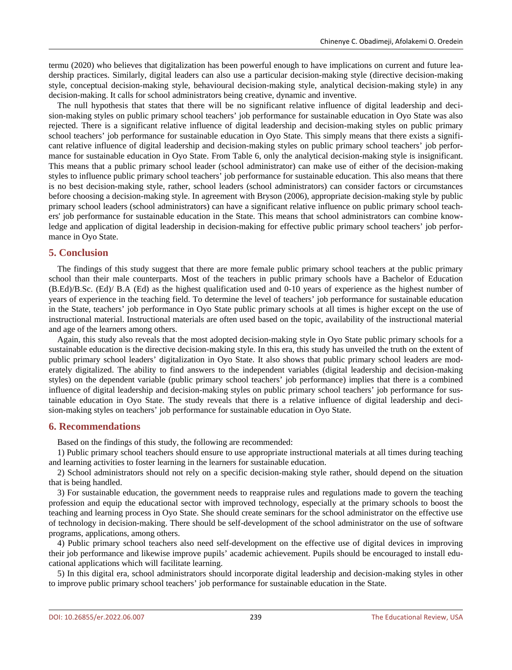termu (2020) who believes that digitalization has been powerful enough to have implications on current and future leadership practices. Similarly, digital leaders can also use a particular decision-making style (directive decision-making style, conceptual decision-making style, behavioural decision-making style, analytical decision-making style) in any decision-making. It calls for school administrators being creative, dynamic and inventive.

The null hypothesis that states that there will be no significant relative influence of digital leadership and decision-making styles on public primary school teachers' job performance for sustainable education in Oyo State was also rejected. There is a significant relative influence of digital leadership and decision-making styles on public primary school teachers' job performance for sustainable education in Oyo State. This simply means that there exists a significant relative influence of digital leadership and decision-making styles on public primary school teachers' job performance for sustainable education in Oyo State. From Table 6, only the analytical decision-making style is insignificant. This means that a public primary school leader (school administrator) can make use of either of the decision-making styles to influence public primary school teachers' job performance for sustainable education. This also means that there is no best decision-making style, rather, school leaders (school administrators) can consider factors or circumstances before choosing a decision-making style. In agreement with Bryson (2006), appropriate decision-making style by public primary school leaders (school administrators) can have a significant relative influence on public primary school teachers' job performance for sustainable education in the State. This means that school administrators can combine knowledge and application of digital leadership in decision-making for effective public primary school teachers' job performance in Oyo State.

# **5. Conclusion**

The findings of this study suggest that there are more female public primary school teachers at the public primary school than their male counterparts. Most of the teachers in public primary schools have a Bachelor of Education (B.Ed)/B.Sc. (Ed)/ B.A (Ed) as the highest qualification used and 0-10 years of experience as the highest number of years of experience in the teaching field. To determine the level of teachers' job performance for sustainable education in the State, teachers' job performance in Oyo State public primary schools at all times is higher except on the use of instructional material. Instructional materials are often used based on the topic, availability of the instructional material and age of the learners among others.

Again, this study also reveals that the most adopted decision-making style in Oyo State public primary schools for a sustainable education is the directive decision-making style. In this era, this study has unveiled the truth on the extent of public primary school leaders' digitalization in Oyo State. It also shows that public primary school leaders are moderately digitalized. The ability to find answers to the independent variables (digital leadership and decision-making styles) on the dependent variable (public primary school teachers' job performance) implies that there is a combined influence of digital leadership and decision-making styles on public primary school teachers' job performance for sustainable education in Oyo State. The study reveals that there is a relative influence of digital leadership and decision-making styles on teachers' job performance for sustainable education in Oyo State.

# **6. Recommendations**

Based on the findings of this study, the following are recommended:

1) Public primary school teachers should ensure to use appropriate instructional materials at all times during teaching and learning activities to foster learning in the learners for sustainable education.

2) School administrators should not rely on a specific decision-making style rather, should depend on the situation that is being handled.

3) For sustainable education, the government needs to reappraise rules and regulations made to govern the teaching profession and equip the educational sector with improved technology, especially at the primary schools to boost the teaching and learning process in Oyo State. She should create seminars for the school administrator on the effective use of technology in decision-making. There should be self-development of the school administrator on the use of software programs, applications, among others.

4) Public primary school teachers also need self-development on the effective use of digital devices in improving their job performance and likewise improve pupils' academic achievement. Pupils should be encouraged to install educational applications which will facilitate learning.

5) In this digital era, school administrators should incorporate digital leadership and decision-making styles in other to improve public primary school teachers' job performance for sustainable education in the State.